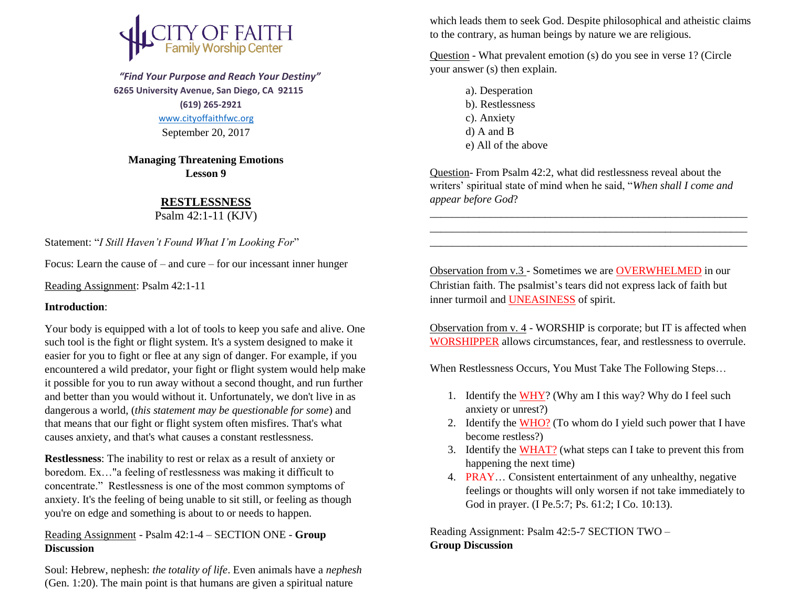

 *"Find Your Purpose and Reach Your Destiny"*  **6265 University Avenue, San Diego, CA 92115 (619) 265-2921** [www.cityoffaithfwc.org](http://www.cityoffaithfwc.org/)

September 20, 2017

**Managing Threatening Emotions Lesson 9**

## **RESTLESSNESS**

Psalm 42:1-11 (KJV)

Statement: "*I Still Haven't Found What I'm Looking For*"

Focus: Learn the cause of – and cure – for our incessant inner hunger

Reading Assignment: Psalm 42:1-11

## **Introduction**:

Your body is equipped with a lot of tools to keep you safe and alive. One such tool is the fight or flight system. It's a system designed to make it easier for you to fight or flee at any sign of danger. For example, if you encountered a wild predator, your fight or flight system would help make it possible for you to run away without a second thought, and run further and better than you would without it. Unfortunately, we don't live in as dangerous a world, (*this statement may be questionable for some*) and that means that our fight or flight system often misfires. That's what causes anxiety, and that's what causes a constant restlessness.

**Restlessness**: The inability to rest or relax as a result of anxiety or boredom. Ex…"a feeling of restlessness was making it difficult to concentrate." Restlessness is one of the most common symptoms of anxiety. It's the feeling of being unable to sit still, or feeling as though you're on edge and something is about to or needs to happen.

Reading Assignment - Psalm 42:1-4 – SECTION ONE - **Group Discussion**

Soul: Hebrew, nephesh: *the totality of life*. Even animals have a *nephesh* (Gen. 1:20). The main point is that humans are given a spiritual nature

which leads them to seek God. Despite philosophical and atheistic claims to the contrary, as human beings by nature we are religious.

Question - What prevalent emotion (s) do you see in verse 1? (Circle your answer (s) then explain.

- a). Desperation b). Restlessness
- c). Anxiety
- d) A and B
- e) All of the above

Question- From Psalm 42:2, what did restlessness reveal about the writers' spiritual state of mind when he said, "*When shall I come and appear before God*?

\_\_\_\_\_\_\_\_\_\_\_\_\_\_\_\_\_\_\_\_\_\_\_\_\_\_\_\_\_\_\_\_\_\_\_\_\_\_\_\_\_\_\_\_\_\_\_\_\_\_\_\_\_\_\_\_\_\_ \_\_\_\_\_\_\_\_\_\_\_\_\_\_\_\_\_\_\_\_\_\_\_\_\_\_\_\_\_\_\_\_\_\_\_\_\_\_\_\_\_\_\_\_\_\_\_\_\_\_\_\_\_\_\_\_\_\_ \_\_\_\_\_\_\_\_\_\_\_\_\_\_\_\_\_\_\_\_\_\_\_\_\_\_\_\_\_\_\_\_\_\_\_\_\_\_\_\_\_\_\_\_\_\_\_\_\_\_\_\_\_\_\_\_\_\_

Observation from v.3 - Sometimes we are OVERWHELMED in our Christian faith. The psalmist's tears did not express lack of faith but inner turmoil and UNEASINESS of spirit.

Observation from v. 4 - WORSHIP is corporate; but IT is affected when WORSHIPPER allows circumstances, fear, and restlessness to overrule.

When Restlessness Occurs, You Must Take The Following Steps…

- 1. Identify the WHY? (Why am I this way? Why do I feel such anxiety or unrest?)
- 2. Identify the WHO? (To whom do I yield such power that I have become restless?)
- 3. Identify the WHAT? (what steps can I take to prevent this from happening the next time)
- 4. PRAY… Consistent entertainment of any unhealthy, negative feelings or thoughts will only worsen if not take immediately to God in prayer. (I Pe.5:7; Ps. 61:2; I Co. 10:13).

Reading Assignment: Psalm 42:5-7 SECTION TWO – **Group Discussion**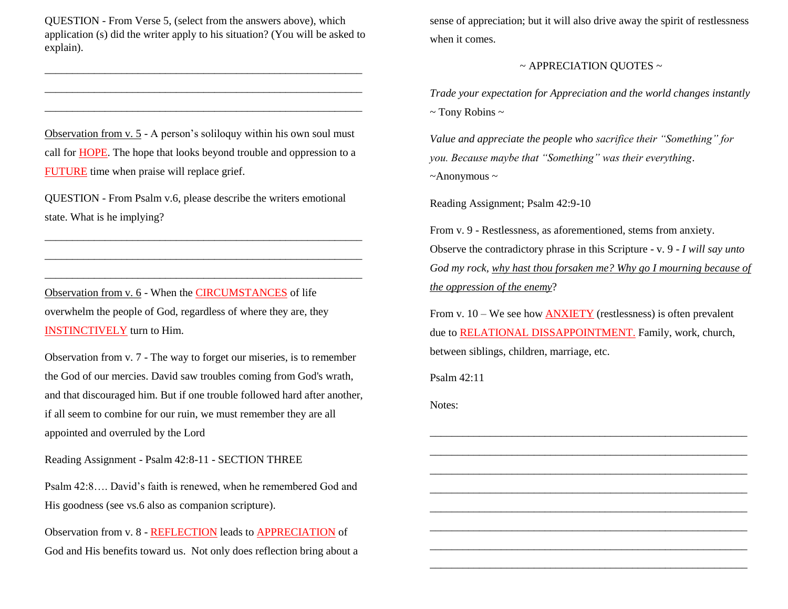QUESTION - From Verse 5, (select from the answers above), which application (s) did the writer apply to his situation? (You will be asked to explain).

\_\_\_\_\_\_\_\_\_\_\_\_\_\_\_\_\_\_\_\_\_\_\_\_\_\_\_\_\_\_\_\_\_\_\_\_\_\_\_\_\_\_\_\_\_\_\_\_\_\_\_\_\_\_\_\_\_\_ \_\_\_\_\_\_\_\_\_\_\_\_\_\_\_\_\_\_\_\_\_\_\_\_\_\_\_\_\_\_\_\_\_\_\_\_\_\_\_\_\_\_\_\_\_\_\_\_\_\_\_\_\_\_\_\_\_\_ \_\_\_\_\_\_\_\_\_\_\_\_\_\_\_\_\_\_\_\_\_\_\_\_\_\_\_\_\_\_\_\_\_\_\_\_\_\_\_\_\_\_\_\_\_\_\_\_\_\_\_\_\_\_\_\_\_\_

Observation from v. 5 - A person's soliloquy within his own soul must call for **HOPE**. The hope that looks beyond trouble and oppression to a FUTURE time when praise will replace grief.

QUESTION - From Psalm v.6, please describe the writers emotional state. What is he implying?

\_\_\_\_\_\_\_\_\_\_\_\_\_\_\_\_\_\_\_\_\_\_\_\_\_\_\_\_\_\_\_\_\_\_\_\_\_\_\_\_\_\_\_\_\_\_\_\_\_\_\_\_\_\_\_\_\_\_ \_\_\_\_\_\_\_\_\_\_\_\_\_\_\_\_\_\_\_\_\_\_\_\_\_\_\_\_\_\_\_\_\_\_\_\_\_\_\_\_\_\_\_\_\_\_\_\_\_\_\_\_\_\_\_\_\_\_ \_\_\_\_\_\_\_\_\_\_\_\_\_\_\_\_\_\_\_\_\_\_\_\_\_\_\_\_\_\_\_\_\_\_\_\_\_\_\_\_\_\_\_\_\_\_\_\_\_\_\_\_\_\_\_\_\_\_

Observation from v. 6 - When the CIRCUMSTANCES of life overwhelm the people of God, regardless of where they are, they INSTINCTIVELY turn to Him.

Observation from v. 7 - The way to forget our miseries, is to remember the God of our mercies. David saw troubles coming from God's wrath, and that discouraged him. But if one trouble followed hard after another, if all seem to combine for our ruin, we must remember they are all appointed and overruled by the Lord

Reading Assignment - Psalm 42:8-11 - SECTION THREE

Psalm 42:8…. David's faith is renewed, when he remembered God and His goodness (see vs.6 also as companion scripture).

Observation from v. 8 - REFLECTION leads to APPRECIATION of God and His benefits toward us. Not only does reflection bring about a sense of appreciation; but it will also drive away the spirit of restlessness when it comes.

## ~ APPRECIATION QUOTES ~

*Trade your expectation for Appreciation and the world changes instantly*  $\sim$  Tony Robins  $\sim$ 

*Value and appreciate the people who sacrifice their "Something" for you. Because maybe that "Something" was their everything*.  $~\sim$ Anonymous  $\sim$ 

Reading Assignment; Psalm 42:9-10

From v. 9 - Restlessness, as aforementioned, stems from anxiety. Observe the contradictory phrase in this Scripture - v. 9 - *I will say unto God my rock, why hast thou forsaken me? Why go I mourning because of the oppression of the enemy*?

From v. 10 – We see how ANXIETY (restlessness) is often prevalent due to RELATIONAL DISSAPPOINTMENT. Family, work, church, between siblings, children, marriage, etc.

\_\_\_\_\_\_\_\_\_\_\_\_\_\_\_\_\_\_\_\_\_\_\_\_\_\_\_\_\_\_\_\_\_\_\_\_\_\_\_\_\_\_\_\_\_\_\_\_\_\_\_\_\_\_\_\_\_\_ \_\_\_\_\_\_\_\_\_\_\_\_\_\_\_\_\_\_\_\_\_\_\_\_\_\_\_\_\_\_\_\_\_\_\_\_\_\_\_\_\_\_\_\_\_\_\_\_\_\_\_\_\_\_\_\_\_\_ \_\_\_\_\_\_\_\_\_\_\_\_\_\_\_\_\_\_\_\_\_\_\_\_\_\_\_\_\_\_\_\_\_\_\_\_\_\_\_\_\_\_\_\_\_\_\_\_\_\_\_\_\_\_\_\_\_\_ \_\_\_\_\_\_\_\_\_\_\_\_\_\_\_\_\_\_\_\_\_\_\_\_\_\_\_\_\_\_\_\_\_\_\_\_\_\_\_\_\_\_\_\_\_\_\_\_\_\_\_\_\_\_\_\_\_\_ \_\_\_\_\_\_\_\_\_\_\_\_\_\_\_\_\_\_\_\_\_\_\_\_\_\_\_\_\_\_\_\_\_\_\_\_\_\_\_\_\_\_\_\_\_\_\_\_\_\_\_\_\_\_\_\_\_\_ \_\_\_\_\_\_\_\_\_\_\_\_\_\_\_\_\_\_\_\_\_\_\_\_\_\_\_\_\_\_\_\_\_\_\_\_\_\_\_\_\_\_\_\_\_\_\_\_\_\_\_\_\_\_\_\_\_\_ \_\_\_\_\_\_\_\_\_\_\_\_\_\_\_\_\_\_\_\_\_\_\_\_\_\_\_\_\_\_\_\_\_\_\_\_\_\_\_\_\_\_\_\_\_\_\_\_\_\_\_\_\_\_\_\_\_\_ \_\_\_\_\_\_\_\_\_\_\_\_\_\_\_\_\_\_\_\_\_\_\_\_\_\_\_\_\_\_\_\_\_\_\_\_\_\_\_\_\_\_\_\_\_\_\_\_\_\_\_\_\_\_\_\_\_\_

Psalm 42:11

Notes: